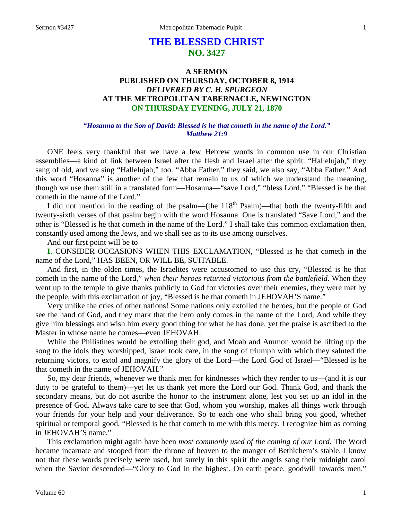# **THE BLESSED CHRIST NO. 3427**

## **A SERMON PUBLISHED ON THURSDAY, OCTOBER 8, 1914** *DELIVERED BY C. H. SPURGEON* **AT THE METROPOLITAN TABERNACLE, NEWINGTON ON THURSDAY EVENING, JULY 21, 1870**

### *"Hosanna to the Son of David: Blessed is he that cometh in the name of the Lord." Matthew 21:9*

ONE feels very thankful that we have a few Hebrew words in common use in our Christian assemblies—a kind of link between Israel after the flesh and Israel after the spirit. "Hallelujah," they sang of old, and we sing "Hallelujah," too. "Abba Father," they said, we also say, "Abba Father." And this word "Hosanna" is another of the few that remain to us of which we understand the meaning, though we use them still in a translated form—Hosanna—"save Lord," "bless Lord." "Blessed is he that cometh in the name of the Lord."

I did not mention in the reading of the psalm—(the  $118<sup>th</sup>$  Psalm)—that both the twenty-fifth and twenty-sixth verses of that psalm begin with the word Hosanna. One is translated "Save Lord," and the other is "Blessed is he that cometh in the name of the Lord." I shall take this common exclamation then, constantly used among the Jews, and we shall see as to its use among ourselves.

And our first point will be to—

**I.** CONSIDER OCCASIONS WHEN THIS EXCLAMATION, "Blessed is he that cometh in the name of the Lord," HAS BEEN, OR WILL BE, SUITABLE.

And first, in the olden times, the Israelites were accustomed to use this cry, "Blessed is he that cometh in the name of the Lord," *when their heroes returned victorious from the battlefield*. When they went up to the temple to give thanks publicly to God for victories over their enemies, they were met by the people, with this exclamation of joy, "Blessed is he that cometh in JEHOVAH'S name."

Very unlike the cries of other nations! Some nations only extolled the heroes, but the people of God see the hand of God, and they mark that the hero only comes in the name of the Lord, And while they give him blessings and wish him every good thing for what he has done, yet the praise is ascribed to the Master in whose name he comes—even JEHOVAH.

While the Philistines would be extolling their god, and Moab and Ammon would be lifting up the song to the idols they worshipped, Israel took care, in the song of triumph with which they saluted the returning victors, to extol and magnify the glory of the Lord—the Lord God of Israel—"Blessed is he that cometh in the name of JEHOVAH."

So, my dear friends, whenever we thank men for kindnesses which they render to us—(and it is our duty to be grateful to them)—yet let us thank yet more the Lord our God. Thank God, and thank the secondary means, but do not ascribe the honor to the instrument alone, lest you set up an idol in the presence of God. Always take care to see that God, whom you worship, makes all things work through your friends for your help and your deliverance. So to each one who shall bring you good, whether spiritual or temporal good, "Blessed is he that cometh to me with this mercy. I recognize him as coming in JEHOVAH'S name."

This exclamation might again have been *most commonly used of the coming of our Lord*. The Word became incarnate and stooped from the throne of heaven to the manger of Bethlehem's stable. I know not that these words precisely were used, but surely in this spirit the angels sang their midnight carol when the Savior descended—"Glory to God in the highest. On earth peace, goodwill towards men."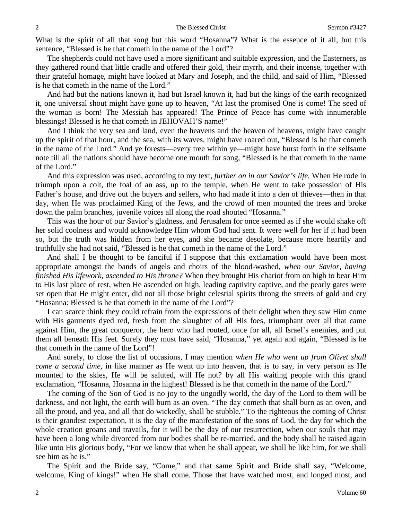What is the spirit of all that song but this word "Hosanna"? What is the essence of it all, but this sentence, "Blessed is he that cometh in the name of the Lord"?

The shepherds could not have used a more significant and suitable expression, and the Easterners, as they gathered round that little cradle and offered their gold, their myrrh, and their incense, together with their grateful homage, might have looked at Mary and Joseph, and the child, and said of Him, "Blessed is he that cometh in the name of the Lord."

And had but the nations known it, had but Israel known it, had but the kings of the earth recognized it, one universal shout might have gone up to heaven, "At last the promised One is come! The seed of the woman is born! The Messiah has appeared! The Prince of Peace has come with innumerable blessings! Blessed is he that cometh in JEHOVAH'S name!"

And I think the very sea and land, even the heavens and the heaven of heavens, might have caught up the spirit of that hour, and the sea, with its waves, might have roared out, "Blessed is he that cometh in the name of the Lord." And ye forests—every tree within ye—might have burst forth in the selfsame note till all the nations should have become one mouth for song, "Blessed is he that cometh in the name of the Lord."

And this expression was used, according to my text, *further on in our Savior's life.* When He rode in triumph upon a colt, the foal of an ass, up to the temple, when He went to take possession of His Father's house, and drive out the buyers and sellers, who had made it into a den of thieves—then in that day, when He was proclaimed King of the Jews, and the crowd of men mounted the trees and broke down the palm branches, juvenile voices all along the road shouted "Hosanna."

This was the hour of our Savior's gladness, and Jerusalem for once seemed as if she would shake off her solid coolness and would acknowledge Him whom God had sent. It were well for her if it had been so, but the truth was hidden from her eyes, and she became desolate, because more heartily and truthfully she had not said, "Blessed is he that cometh in the name of the Lord."

And shall I be thought to be fanciful if I suppose that this exclamation would have been most appropriate amongst the bands of angels and choirs of the blood-washed, *when our Savior, having finished His lifework, ascended to His throne?* When they brought His chariot from on high to bear Him to His last place of rest, when He ascended on high, leading captivity captive, and the pearly gates were set open that He might enter, did not all those bright celestial spirits throng the streets of gold and cry "Hosanna: Blessed is he that cometh in the name of the Lord"?

I can scarce think they could refrain from the expressions of their delight when they saw Him come with His garments dyed red, fresh from the slaughter of all His foes, triumphant over all that came against Him, the great conqueror, the hero who had routed, once for all, all Israel's enemies, and put them all beneath His feet. Surely they must have said, "Hosanna," yet again and again, "Blessed is he that cometh in the name of the Lord"!

And surely, to close the list of occasions, I may mention *when He who went up from Olivet shall come a second time,* in like manner as He went up into heaven, that is to say, in very person as He mounted to the skies, He will be saluted, will He not? by all His waiting people with this grand exclamation, "Hosanna, Hosanna in the highest! Blessed is he that cometh in the name of the Lord."

The coming of the Son of God is no joy to the ungodly world, the day of the Lord to them will be darkness, and not light, the earth will burn as an oven. "The day cometh that shall burn as an oven, and all the proud, and yea, and all that do wickedly, shall be stubble." To the righteous the coming of Christ is their grandest expectation, it is the day of the manifestation of the sons of God, the day for which the whole creation groans and travails, for it will be the day of our resurrection, when our souls that may have been a long while divorced from our bodies shall be re-married, and the body shall be raised again like unto His glorious body, "For we know that when he shall appear, we shall be like him, for we shall see him as he is."

The Spirit and the Bride say, "Come," and that same Spirit and Bride shall say, "Welcome, welcome, King of kings!" when He shall come. Those that have watched most, and longed most, and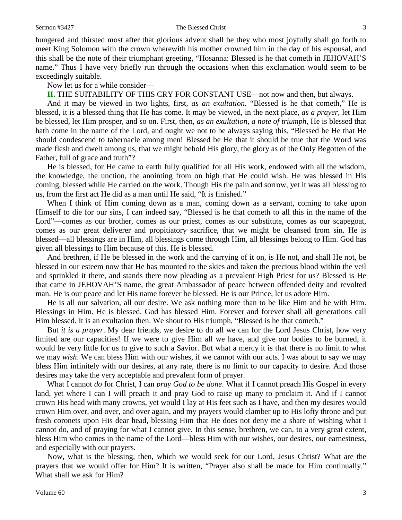#### Sermon #3427 The Blessed Christ 3

hungered and thirsted most after that glorious advent shall be they who most joyfully shall go forth to meet King Solomon with the crown wherewith his mother crowned him in the day of his espousal, and this shall be the note of their triumphant greeting, "Hosanna: Blessed is he that cometh in JEHOVAH'S name." Thus I have very briefly run through the occasions when this exclamation would seem to be exceedingly suitable.

### Now let us for a while consider—

**II.** THE SUITABILITY OF THIS CRY FOR CONSTANT USE—not now and then, but always.

And it may be viewed in two lights, first, *as an exultation*. "Blessed is he that cometh," He is blessed, it is a blessed thing that He has come. It may be viewed, in the next place, *as a prayer,* let Him be blessed, let Him prosper, and so on. First, then, *as an exultation, a note of triumph,* He is blessed that hath come in the name of the Lord, and ought we not to be always saying this, "Blessed be He that He should condescend to tabernacle among men! Blessed be He that it should be true that the Word was made flesh and dwelt among us, that we might behold His glory, the glory as of the Only Begotten of the Father, full of grace and truth"?

He is blessed, for He came to earth fully qualified for all His work, endowed with all the wisdom, the knowledge, the unction, the anointing from on high that He could wish. He was blessed in His coming, blessed while He carried on the work. Though His the pain and sorrow, yet it was all blessing to us, from the first act He did as a man until He said, "It is finished."

When I think of Him coming down as a man, coming down as a servant, coming to take upon Himself to die for our sins, I can indeed say, "Blessed is he that cometh to all this in the name of the Lord"—comes as our brother, comes as our priest, comes as our substitute, comes as our scapegoat, comes as our great deliverer and propitiatory sacrifice, that we might be cleansed from sin. He is blessed—all blessings are in Him, all blessings come through Him, all blessings belong to Him. God has given all blessings to Him because of this. He is blessed.

And brethren, if He be blessed in the work and the carrying of it on, is He not, and shall He not, be blessed in our esteem now that He has mounted to the skies and taken the precious blood within the veil and sprinkled it there, and stands there now pleading as a prevalent High Priest for us? Blessed is He that came in JEHOVAH'S name, the great Ambassador of peace between offended deity and revolted man. He is our peace and let His name forever be blessed. He is our Prince, let us adore Him.

He is all our salvation, all our desire. We ask nothing more than to be like Him and be with Him. Blessings in Him. He is blessed. God has blessed Him. Forever and forever shall all generations call Him blessed. It is an exultation then. We shout to His triumph, "Blessed is he that cometh."

But *it is a prayer*. My dear friends, we desire to do all we can for the Lord Jesus Christ, how very limited are our capacities! If we were to give Him all we have, and give our bodies to be burned, it would be very little for us to give to such a Savior. But what a mercy it is that there is no limit to what we may *wish*. We can bless Him with our wishes, if we cannot with our acts. I was about to say we may bless Him infinitely with our desires, at any rate, there is no limit to our capacity to desire. And those desires may take the very acceptable and prevalent form of prayer.

What I cannot *do* for Christ, I can *pray God to be done*. What if I cannot preach His Gospel in every land, yet where I can I will preach it and pray God to raise up many to proclaim it. And if I cannot crown His head with many crowns, yet would I lay at His feet such as I have, and then my desires would crown Him over, and over, and over again, and my prayers would clamber up to His lofty throne and put fresh coronets upon His dear head, blessing Him that He does not deny me a share of wishing what I cannot do, and of praying for what I cannot give. In this sense, brethren, we can, to a very great extent, bless Him who comes in the name of the Lord—bless Him with our wishes, our desires, our earnestness, and especially with our prayers.

Now, what is the blessing, then, which we would seek for our Lord, Jesus Christ? What are the prayers that we would offer for Him? It is written, "Prayer also shall be made for Him continually." What shall we ask for Him?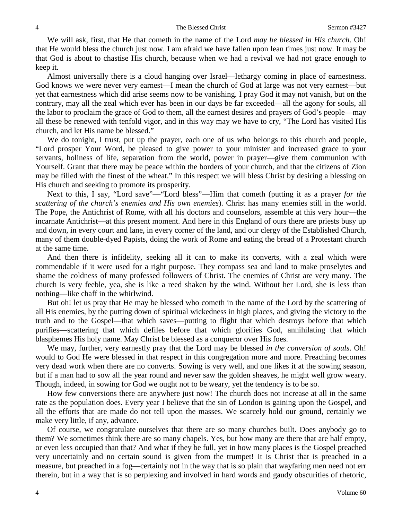#### 4 The Blessed Christ Sermon #3427

We will ask, first, that He that cometh in the name of the Lord *may be blessed in His church*. Oh! that He would bless the church just now. I am afraid we have fallen upon lean times just now. It may be that God is about to chastise His church, because when we had a revival we had not grace enough to keep it.

Almost universally there is a cloud hanging over Israel—lethargy coming in place of earnestness. God knows we were never very earnest—I mean the church of God at large was not very earnest—but yet that earnestness which did arise seems now to be vanishing. I pray God it may not vanish, but on the contrary, may all the zeal which ever has been in our days be far exceeded—all the agony for souls, all the labor to proclaim the grace of God to them, all the earnest desires and prayers of God's people—may all these be renewed with tenfold vigor, and in this way may we have to cry, "The Lord has visited His church, and let His name be blessed."

We do tonight, I trust, put up the prayer, each one of us who belongs to this church and people, "Lord prosper Your Word, be pleased to give power to your minister and increased grace to your servants, holiness of life, separation from the world, power in prayer—give them communion with Yourself. Grant that there may be peace within the borders of your church, and that the citizens of Zion may be filled with the finest of the wheat." In this respect we will bless Christ by desiring a blessing on His church and seeking to promote its prosperity.

Next to this, I say, "Lord save"—"Lord bless"—Him that cometh (putting it as a prayer *for the scattering of the church's enemies and His own enemies*). Christ has many enemies still in the world. The Pope, the Antichrist of Rome, with all his doctors and counselors, assemble at this very hour—the incarnate Antichrist—at this present moment. And here in this England of ours there are priests busy up and down, in every court and lane, in every corner of the land, and our clergy of the Established Church, many of them double-dyed Papists, doing the work of Rome and eating the bread of a Protestant church at the same time.

And then there is infidelity, seeking all it can to make its converts, with a zeal which were commendable if it were used for a right purpose. They compass sea and land to make proselytes and shame the coldness of many professed followers of Christ. The enemies of Christ are very many. The church is very feeble, yea, she is like a reed shaken by the wind. Without her Lord, she is less than nothing—like chaff in the whirlwind.

But oh! let us pray that He may be blessed who cometh in the name of the Lord by the scattering of all His enemies, by the putting down of spiritual wickedness in high places, and giving the victory to the truth and to the Gospel—that which saves—putting to flight that which destroys before that which purifies—scattering that which defiles before that which glorifies God, annihilating that which blasphemes His holy name. May Christ be blessed as a conqueror over His foes.

We may, further, very earnestly pray that the Lord may be blessed *in the conversion of souls*. Oh! would to God He were blessed in that respect in this congregation more and more. Preaching becomes very dead work when there are no converts. Sowing is very well, and one likes it at the sowing season, but if a man had to sow all the year round and never saw the golden sheaves, he might well grow weary. Though, indeed, in sowing for God we ought not to be weary, yet the tendency is to be so.

How few conversions there are anywhere just now! The church does not increase at all in the same rate as the population does. Every year I believe that the sin of London is gaining upon the Gospel, and all the efforts that are made do not tell upon the masses. We scarcely hold our ground, certainly we make very little, if any, advance.

Of course, we congratulate ourselves that there are so many churches built. Does anybody go to them? We sometimes think there are so many chapels. Yes, but how many are there that are half empty, or even less occupied than that? And what if they be full, yet in how many places is the Gospel preached very uncertainly and no certain sound is given from the trumpet! It is Christ that is preached in a measure, but preached in a fog—certainly not in the way that is so plain that wayfaring men need not err therein, but in a way that is so perplexing and involved in hard words and gaudy obscurities of rhetoric,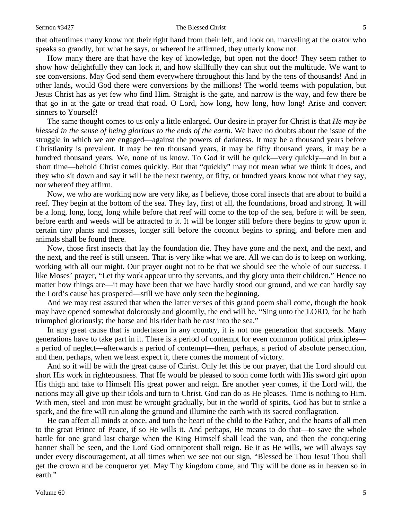#### Sermon #3427 The Blessed Christ 5

that oftentimes many know not their right hand from their left, and look on, marveling at the orator who speaks so grandly, but what he says, or whereof he affirmed, they utterly know not.

How many there are that have the key of knowledge, but open not the door! They seem rather to show how delightfully they can lock it, and how skillfully they can shut out the multitude. We want to see conversions. May God send them everywhere throughout this land by the tens of thousands! And in other lands, would God there were conversions by the millions! The world teems with population, but Jesus Christ has as yet few who find Him. Straight is the gate, and narrow is the way, and few there be that go in at the gate or tread that road. O Lord, how long, how long, how long! Arise and convert sinners to Yourself!

The same thought comes to us only a little enlarged. Our desire in prayer for Christ is that *He may be blessed in the sense of being glorious to the ends of the earth*. We have no doubts about the issue of the struggle in which we are engaged—against the powers of darkness. It may be a thousand years before Christianity is prevalent. It may be ten thousand years, it may be fifty thousand years, it may be a hundred thousand years. We, none of us know. To God it will be quick—very quickly—and in but a short time—behold Christ comes quickly. But that "quickly" may not mean what we think it does, and they who sit down and say it will be the next twenty, or fifty, or hundred years know not what they say, nor whereof they affirm.

Now, we who are working now are very like, as I believe, those coral insects that are about to build a reef. They begin at the bottom of the sea. They lay, first of all, the foundations, broad and strong. It will be a long, long, long, long while before that reef will come to the top of the sea, before it will be seen, before earth and weeds will be attracted to it. It will be longer still before there begins to grow upon it certain tiny plants and mosses, longer still before the coconut begins to spring, and before men and animals shall be found there.

Now, those first insects that lay the foundation die. They have gone and the next, and the next, and the next, and the reef is still unseen. That is very like what we are. All we can do is to keep on working, working with all our might. Our prayer ought not to be that we should see the whole of our success. I like Moses' prayer, "Let thy work appear unto thy servants, and thy glory unto their children." Hence no matter how things are—it may have been that we have hardly stood our ground, and we can hardly say the Lord's cause has prospered—still we have only seen the beginning.

And we may rest assured that when the latter verses of this grand poem shall come, though the book may have opened somewhat dolorously and gloomily, the end will be, "Sing unto the LORD, for he hath triumphed gloriously; the horse and his rider hath he cast into the sea."

In any great cause that is undertaken in any country, it is not one generation that succeeds. Many generations have to take part in it. There is a period of contempt for even common political principles a period of neglect—afterwards a period of contempt—then, perhaps, a period of absolute persecution, and then, perhaps, when we least expect it, there comes the moment of victory.

And so it will be with the great cause of Christ. Only let this be our prayer, that the Lord should cut short His work in righteousness. That He would be pleased to soon come forth with His sword girt upon His thigh and take to Himself His great power and reign. Ere another year comes, if the Lord will, the nations may all give up their idols and turn to Christ. God can do as He pleases. Time is nothing to Him. With men, steel and iron must be wrought gradually, but in the world of spirits, God has but to strike a spark, and the fire will run along the ground and illumine the earth with its sacred conflagration.

He can affect all minds at once, and turn the heart of the child to the Father, and the hearts of all men to the great Prince of Peace, if so He wills it. And perhaps, He means to do that—to save the whole battle for one grand last charge when the King Himself shall lead the van, and then the conquering banner shall be seen, and the Lord God omnipotent shall reign. Be it as He wills, we will always say under every discouragement, at all times when we see not our sign, "Blessed be Thou Jesu! Thou shall get the crown and be conqueror yet. May Thy kingdom come, and Thy will be done as in heaven so in earth."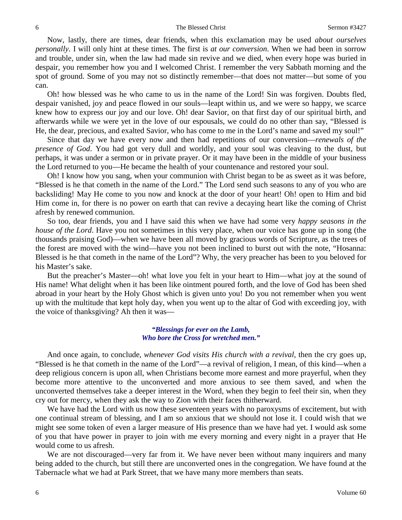Now, lastly, there are times, dear friends, when this exclamation may be used *about ourselves personally*. I will only hint at these times. The first is *at our conversion*. When we had been in sorrow and trouble, under sin, when the law had made sin revive and we died, when every hope was buried in despair, you remember how you and I welcomed Christ. I remember the very Sabbath morning and the spot of ground. Some of you may not so distinctly remember—that does not matter—but some of you can.

Oh! how blessed was he who came to us in the name of the Lord! Sin was forgiven. Doubts fled, despair vanished, joy and peace flowed in our souls—leapt within us, and we were so happy, we scarce knew how to express our joy and our love. Oh! dear Savior, on that first day of our spiritual birth, and afterwards while we were yet in the love of our espousals, we could do no other than say, "Blessed is He, the dear, precious, and exalted Savior, who has come to me in the Lord's name and saved my soul!"

Since that day we have every now and then had repetitions of our conversion—*renewals of the presence of God*. You had got very dull and worldly, and your soul was cleaving to the dust, but perhaps, it was under a sermon or in private prayer. Or it may have been in the middle of your business the Lord returned to you—He became the health of your countenance and restored your soul.

Oh! I know how you sang, when your communion with Christ began to be as sweet as it was before, "Blessed is he that cometh in the name of the Lord." The Lord send such seasons to any of you who are backsliding! May He come to you now and knock at the door of your heart! Oh! open to Him and bid Him come in, for there is no power on earth that can revive a decaying heart like the coming of Christ afresh by renewed communion.

So too, dear friends, you and I have said this when we have had some very *happy seasons in the house of the Lord*. Have you not sometimes in this very place, when our voice has gone up in song (the thousands praising God)—when we have been all moved by gracious words of Scripture, as the trees of the forest are moved with the wind—have you not been inclined to burst out with the note, "Hosanna: Blessed is he that cometh in the name of the Lord"? Why, the very preacher has been to you beloved for his Master's sake.

But the preacher's Master—oh! what love you felt in your heart to Him—what joy at the sound of His name! What delight when it has been like ointment poured forth, and the love of God has been shed abroad in your heart by the Holy Ghost which is given unto you! Do you not remember when you went up with the multitude that kept holy day, when you went up to the altar of God with exceeding joy, with the voice of thanksgiving? Ah then it was—

### *"Blessings for ever on the Lamb, Who bore the Cross for wretched men."*

And once again, to conclude, *whenever God visits His church with a revival,* then the cry goes up, "Blessed is he that cometh in the name of the Lord"—a revival of religion, I mean, of this kind—when a deep religious concern is upon all, when Christians become more earnest and more prayerful, when they become more attentive to the unconverted and more anxious to see them saved, and when the unconverted themselves take a deeper interest in the Word, when they begin to feel their sin, when they cry out for mercy, when they ask the way to Zion with their faces thitherward.

We have had the Lord with us now these seventeen years with no paroxysms of excitement, but with one continual stream of blessing, and I am so anxious that we should not lose it. I could wish that we might see some token of even a larger measure of His presence than we have had yet. I would ask some of you that have power in prayer to join with me every morning and every night in a prayer that He would come to us afresh.

We are not discouraged—very far from it. We have never been without many inquirers and many being added to the church, but still there are unconverted ones in the congregation. We have found at the Tabernacle what we had at Park Street, that we have many more members than seats.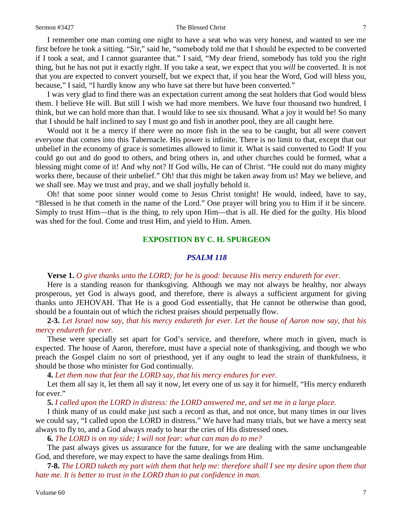#### Sermon #3427 The Blessed Christ 7

I remember one man coming one night to have a seat who was very honest, and wanted to see me first before he took a sitting. "Sir," said he, "somebody told me that I should be expected to be converted if I took a seat, and I cannot guarantee that." I said, "My dear friend, somebody has told you the right thing, but he has not put it exactly right. If you take a seat, we expect that you *will* be converted. It is not that you are expected to convert yourself, but we expect that, if you hear the Word, God will bless you, because," I said, "I hardly know any who have sat there but have been converted."

I was very glad to find there was an expectation current among the seat holders that God would bless them. I believe He will. But still I wish we had more members. We have four thousand two hundred, I think, but we can hold more than that. I would like to see six thousand. What a joy it would be! So many that I should be half inclined to say I must go and fish in another pool, they are all caught here.

Would not it be a mercy if there were no more fish in the sea to be caught, but all were convert everyone that comes into this Tabernacle. His power is infinite. There is no limit to that, except that our unbelief in the economy of grace is sometimes allowed to limit it. What is said converted to God! If you could go out and do good to others, and bring others in, and other churches could be formed, what a blessing might come of it! And why not? If God wills, He can of Christ. "He could not do many mighty works there, because of their unbelief." Oh! that this might be taken away from us! May we believe, and we shall see. May we trust and pray, and we shall joyfully behold it.

Oh! that some poor sinner would come to Jesus Christ tonight! He would, indeed, have to say, "Blessed is he that cometh in the name of the Lord." One prayer will bring you to Him if it be sincere. Simply to trust Him—that is the thing, to rely upon Him—that is all. He died for the guilty. His blood was shed for the foul. Come and trust Him, and yield to Him. Amen.

### **EXPOSITION BY C. H. SPURGEON**

## *PSALM 118*

## **Verse 1.** *O give thanks unto the LORD; for he is good: because His mercy endureth for ever.*

Here is a standing reason for thanksgiving. Although we may not always be healthy, nor always prosperous, yet God is always good, and therefore, there is always a sufficient argument for giving thanks unto JEHOVAH. That He is a good God essentially, that He cannot be otherwise than good, should be a fountain out of which the richest praises should perpetually flow.

**2-3.** *Let Israel now say, that his mercy endureth for ever. Let the house of Aaron now say, that his mercy endureth for ever.*

These were specially set apart for God's service, and therefore, where much in given, much is expected. The house of Aaron, therefore, must have a special note of thanksgiving, and though we who preach the Gospel claim no sort of priesthood, yet if any ought to lead the strain of thankfulness, it should be those who minister for God continually.

**4.** *Let them now that fear the LORD say, that his mercy endures for ever.*

Let them all say it, let them all say it now, let every one of us say it for himself, "His mercy endureth for ever."

**5.** *I called upon the LORD in distress: the LORD answered me, and set me in a large place.*

I think many of us could make just such a record as that, and not once, but many times in our lives we could say, "I called upon the LORD in distress." We have had many trials, but we have a mercy seat always to fly to, and a God always ready to hear the cries of His distressed ones.

**6.** *The LORD is on my side; I will not fear: what can man do to me?*

The past always gives us assurance for the future, for we are dealing with the same unchangeable God, and therefore, we may expect to have the same dealings from Him.

**7-8.** *The LORD taketh my part with them that help me: therefore shall I see my desire upon them that hate me. It is better to trust in the LORD than to put confidence in man.*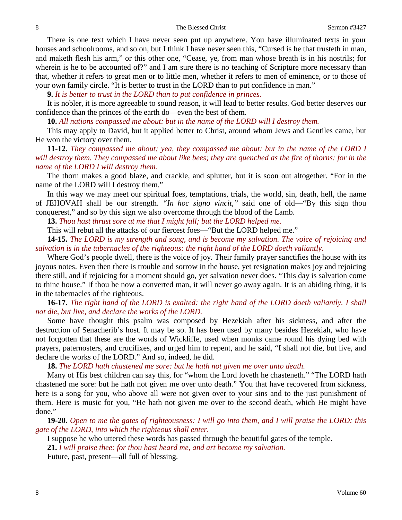There is one text which I have never seen put up anywhere. You have illuminated texts in your houses and schoolrooms, and so on, but I think I have never seen this, "Cursed is he that trusteth in man, and maketh flesh his arm," or this other one, "Cease, ye, from man whose breath is in his nostrils; for wherein is he to be accounted of?" and I am sure there is no teaching of Scripture more necessary than that, whether it refers to great men or to little men, whether it refers to men of eminence, or to those of your own family circle. "It is better to trust in the LORD than to put confidence in man."

**9.** *It is better to trust in the LORD than to put confidence in princes.*

It is nobler, it is more agreeable to sound reason, it will lead to better results. God better deserves our confidence than the princes of the earth do—even the best of them.

**10.** *All nations compassed me about: but in the name of the LORD will I destroy them.*

This may apply to David, but it applied better to Christ, around whom Jews and Gentiles came, but He won the victory over them.

**11-12.** *They compassed me about; yea, they compassed me about: but in the name of the LORD I will destroy them. They compassed me about like bees; they are quenched as the fire of thorns: for in the name of the LORD I will destroy them.*

The thorn makes a good blaze, and crackle, and splutter, but it is soon out altogether. "For in the name of the LORD will I destroy them."

In this way we may meet our spiritual foes, temptations, trials, the world, sin, death, hell, the name of JEHOVAH shall be our strength. *"In hoc signo vincit,"* said one of old—"By this sign thou conquerest," and so by this sign we also overcome through the blood of the Lamb.

**13.** *Thou hast thrust sore at me that I might fall; but the LORD helped me.*

This will rebut all the attacks of our fiercest foes—"But the LORD helped me."

**14-15.** *The LORD is my strength and song, and is become my salvation. The voice of rejoicing and salvation is in the tabernacles of the righteous: the right hand of the LORD doeth valiantly.*

Where God's people dwell, there is the voice of joy. Their family prayer sanctifies the house with its joyous notes. Even then there is trouble and sorrow in the house, yet resignation makes joy and rejoicing there still, and if rejoicing for a moment should go, yet salvation never does. "This day is salvation come to thine house." If thou be now a converted man, it will never go away again. It is an abiding thing, it is in the tabernacles of the righteous.

**16-17.** *The right hand of the LORD is exalted: the right hand of the LORD doeth valiantly. I shall not die, but live, and declare the works of the LORD.*

Some have thought this psalm was composed by Hezekiah after his sickness, and after the destruction of Senacherib's host. It may be so. It has been used by many besides Hezekiah, who have not forgotten that these are the words of Wickliffe, used when monks came round his dying bed with prayers, paternosters, and crucifixes, and urged him to repent, and he said, "I shall not die, but live, and declare the works of the LORD." And so, indeed, he did.

**18.** *The LORD hath chastened me sore: but he hath not given me over unto death.*

Many of His best children can say this, for "whom the Lord loveth he chasteneth." "The LORD hath chastened me sore: but he hath not given me over unto death." You that have recovered from sickness, here is a song for you, who above all were not given over to your sins and to the just punishment of them. Here is music for you, "He hath not given me over to the second death, which He might have done."

**19-20.** *Open to me the gates of righteousness: I will go into them, and I will praise the LORD: this gate of the LORD, into which the righteous shall enter.*

I suppose he who uttered these words has passed through the beautiful gates of the temple.

**21.** *I will praise thee: for thou hast heard me, and art become my salvation.*

Future, past, present—all full of blessing.